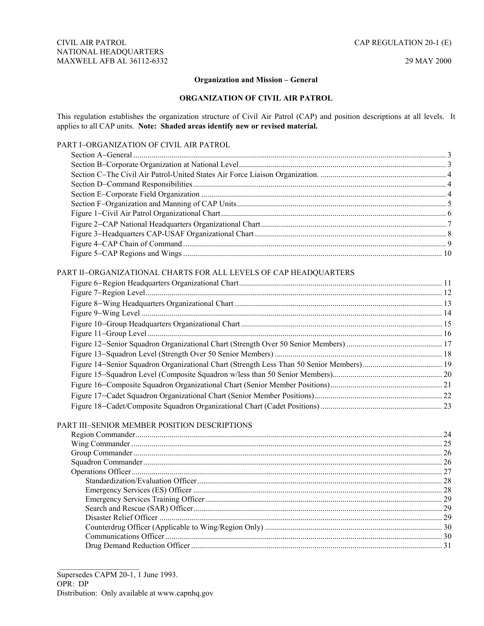#### **Organization and Mission – General**

### **ORGANIZATION OF CIVIL AIR PATROL**

This regulation establishes the organization structure of Civil Air Patrol (CAP) and position descriptions at all levels. It applies to all CAP units. **Note: Shaded areas identify new or revised material.** 

# PART I−ORGANIZATION OF CIVIL AIR PATROL

| PART II-ORGANIZATIONAL CHARTS FOR ALL LEVELS OF CAP HEADQUARTERS |  |
|------------------------------------------------------------------|--|
|                                                                  |  |
|                                                                  |  |
|                                                                  |  |
|                                                                  |  |
|                                                                  |  |
|                                                                  |  |
|                                                                  |  |
|                                                                  |  |
|                                                                  |  |
|                                                                  |  |

# PART III−SENIOR MEMBER POSITION DESCRIPTIONS

Figure 17−[Cadet Squadron Organizational Chart \(Senior Member Positions\)................................................................ 22](#page-21-0) Figure 18−[Cadet/Composite Squadron Organizational Chart \(Cadet Positions\) ............................................................. 23](#page-22-0) 

 $\overline{\phantom{a}}$  , where  $\overline{\phantom{a}}$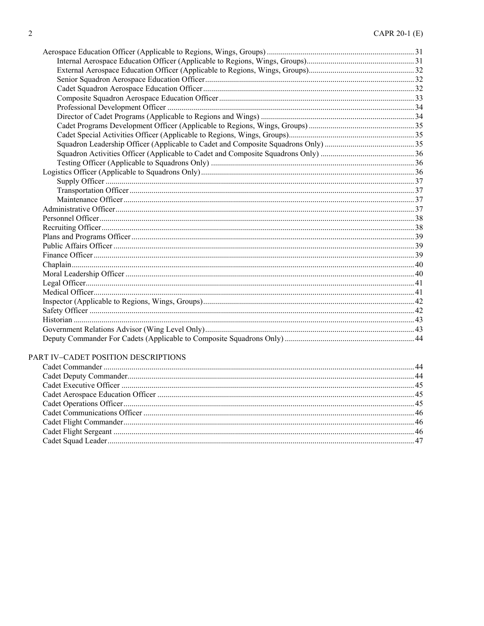#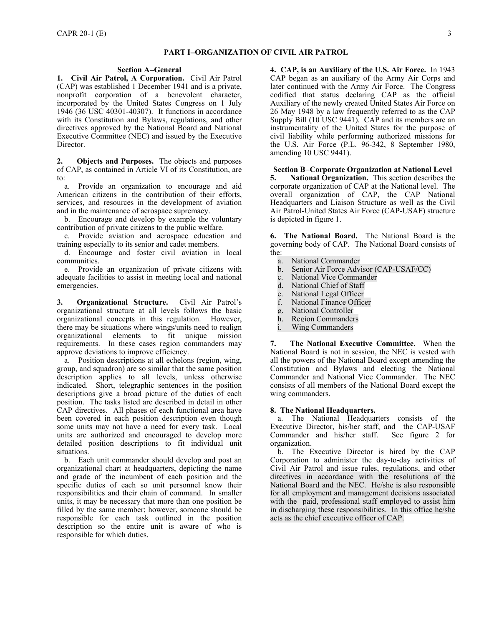#### **PART I**−**ORGANIZATION OF CIVIL AIR PATROL**

#### **Section A**−**General**

<span id="page-2-0"></span>**1. Civil Air Patrol, A Corporation.** Civil Air Patrol (CAP) was established 1 December 1941 and is a private, nonprofit corporation of a benevolent character, incorporated by the United States Congress on 1 July 1946 (36 USC 40301-40307). It functions in accordance with its Constitution and Bylaws, regulations, and other directives approved by the National Board and National Executive Committee (NEC) and issued by the Executive Director.

**2. Objects and Purposes.** The objects and purposes of CAP, as contained in Article VI of its Constitution, are to:

a. Provide an organization to encourage and aid American citizens in the contribution of their efforts, services, and resources in the development of aviation and in the maintenance of aerospace supremacy.

b. Encourage and develop by example the voluntary contribution of private citizens to the public welfare.

c. Provide aviation and aerospace education and training especially to its senior and cadet members.

d. Encourage and foster civil aviation in local communities.

e. Provide an organization of private citizens with adequate facilities to assist in meeting local and national emergencies.

**3. Organizational Structure.** Civil Air Patrol's organizational structure at all levels follows the basic organizational concepts in this regulation. However, there may be situations where wings/units need to realign organizational elements to fit unique mission requirements. In these cases region commanders may approve deviations to improve efficiency.

a. Position descriptions at all echelons (region, wing, group, and squadron) are so similar that the same position description applies to all levels, unless otherwise indicated. Short, telegraphic sentences in the position descriptions give a broad picture of the duties of each position. The tasks listed are described in detail in other CAP directives. All phases of each functional area have been covered in each position description even though some units may not have a need for every task. Local units are authorized and encouraged to develop more detailed position descriptions to fit individual unit situations.

b. Each unit commander should develop and post an organizational chart at headquarters, depicting the name and grade of the incumbent of each position and the specific duties of each so unit personnel know their responsibilities and their chain of command. In smaller units, it may be necessary that more than one position be filled by the same member; however, someone should be responsible for each task outlined in the position description so the entire unit is aware of who is responsible for which duties.

**4. CAP, is an Auxiliary of the U.S. Air Force.** In 1943 CAP began as an auxiliary of the Army Air Corps and later continued with the Army Air Force. The Congress codified that status declaring CAP as the official Auxiliary of the newly created United States Air Force on 26 May 1948 by a law frequently referred to as the CAP Supply Bill (10 USC 9441). CAP and its members are an instrumentality of the United States for the purpose of civil liability while performing authorized missions for the U.S. Air Force (P.L. 96-342, 8 September 1980, amending 10 USC 9441).

**Section B**−**Corporate Organization at National Level 5. National Organization.** This section describes the corporate organization of CAP at the National level. The overall organization of CAP, the CAP National Headquarters and Liaison Structure as well as the Civil Air Patrol-United States Air Force (CAP-USAF) structure is depicted in figure 1.

**6. The National Board.** The National Board is the governing body of CAP. The National Board consists of the:

- a. National Commander
- b. Senior Air Force Advisor (CAP-USAF/CC)
- c. National Vice Commander
- d. National Chief of Staff
- e. National Legal Officer
- f. National Finance Officer
- g. National Controller
- h. Region Commanders
- i. Wing Commanders

**7. The National Executive Committee.** When the National Board is not in session, the NEC is vested with all the powers of the National Board except amending the Constitution and Bylaws and electing the National Commander and National Vice Commander. The NEC consists of all members of the National Board except the wing commanders.

#### **8. The National Headquarters.**

a. The National Headquarters consists of the Executive Director, his/her staff, and the CAP-USAF Commander and his/her staff. organization.

b. The Executive Director is hired by the CAP Corporation to administer the day-to-day activities of Civil Air Patrol and issue rules, regulations, and other directives in accordance with the resolutions of the National Board and the NEC. He/she is also responsible for all employment and management decisions associated with the paid, professional staff employed to assist him in discharging these responsibilities. In this office he/she acts as the chief executive officer of CAP.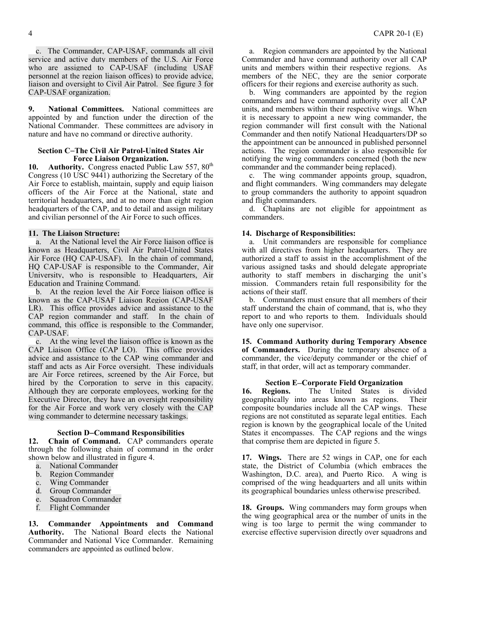<span id="page-3-0"></span>c. The Commander, CAP-USAF, commands all civil service and active duty members of the U.S. Air Force who are assigned to CAP-USAF (including USAF personnel at the region liaison offices) to provide advice, liaison and oversight to Civil Air Patrol. See figure 3 for CAP-USAF organization.

**9. National Committees.** National committees are appointed by and function under the direction of the National Commander. These committees are advisory in nature and have no command or directive authority.

#### **Section C**−**The Civil Air Patrol-United States Air Force Liaison Organization.**

10. Authority. Congress enacted Public Law 557, 80<sup>th</sup> Congress (10 USC 9441) authorizing the Secretary of the Air Force to establish, maintain, supply and equip liaison officers of the Air Force at the National, state and territorial headquarters, and at no more than eight region headquarters of the CAP, and to detail and assign military and civilian personnel of the Air Force to such offices.

#### **11. The Liaison Structure:**

a. At the National level the Air Force liaison office is known as Headquarters, Civil Air Patrol-United States Air Force (HQ CAP-USAF). In the chain of command, HQ CAP-USAF is responsible to the Commander, Air University, who is responsible to Headquarters, Air Education and Training Command.

b. At the region level the Air Force liaison office is known as the CAP-USAF Liaison Region (CAP-USAF LR). This office provides advice and assistance to the CAP region commander and staff. In the chain of command, this office is responsible to the Commander, CAP-USAF.

c. At the wing level the liaison office is known as the CAP Liaison Office (CAP LO). This office provides advice and assistance to the CAP wing commander and staff and acts as Air Force oversight. These individuals are Air Force retirees, screened by the Air Force, but hired by the Corporation to serve in this capacity. Although they are corporate employees, working for the Executive Director, they have an oversight responsibility for the Air Force and work very closely with the CAP wing commander to determine necessary taskings.

## **Section D**−**Command Responsibilities**

**12. Chain of Command.** CAP commanders operate through the following chain of command in the order shown below and illustrated in figure 4.

- a. National Commander
- b. Region Commander
- c. Wing Commander
- d. Group Commander
- e. Squadron Commander
- Flight Commander

**13. Commander Appointments and Command Authority.** The National Board elects the National Commander and National Vice Commander. Remaining commanders are appointed as outlined below.

a. Region commanders are appointed by the National Commander and have command authority over all CAP units and members within their respective regions. As members of the NEC, they are the senior corporate officers for their regions and exercise authority as such.

b. Wing commanders are appointed by the region commanders and have command authority over all CAP units, and members within their respective wings. When it is necessary to appoint a new wing commander, the region commander will first consult with the National Commander and then notify National Headquarters/DP so the appointment can be announced in published personnel actions. The region commander is also responsible for notifying the wing commanders concerned (both the new commander and the commander being replaced).

c. The wing commander appoints group, squadron, and flight commanders. Wing commanders may delegate to group commanders the authority to appoint squadron and flight commanders.

d. Chaplains are not eligible for appointment as commanders.

#### **14. Discharge of Responsibilities:**

a. Unit commanders are responsible for compliance with all directives from higher headquarters. They are authorized a staff to assist in the accomplishment of the various assigned tasks and should delegate appropriate authority to staff members in discharging the unit's mission. Commanders retain full responsibility for the actions of their staff.

b. Commanders must ensure that all members of their staff understand the chain of command, that is, who they report to and who reports to them. Individuals should have only one supervisor.

**15. Command Authority during Temporary Absence of Commanders.** During the temporary absence of a commander, the vice/deputy commander or the chief of staff, in that order, will act as temporary commander.

**Section E**−**Corporate Field Organization**  16. **Regions.** The United States is divided geographically into areas known as regions. Their geographically into areas known as regions. composite boundaries include all the CAP wings. These regions are not constituted as separate legal entities. Each region is known by the geographical locale of the United States it encompasses. The CAP regions and the wings that comprise them are depicted in figure 5.

**17. Wings.** There are 52 wings in CAP, one for each state, the District of Columbia (which embraces the Washington, D.C. area), and Puerto Rico. A wing is comprised of the wing headquarters and all units within its geographical boundaries unless otherwise prescribed.

**18. Groups.** Wing commanders may form groups when the wing geographical area or the number of units in the wing is too large to permit the wing commander to exercise effective supervision directly over squadrons and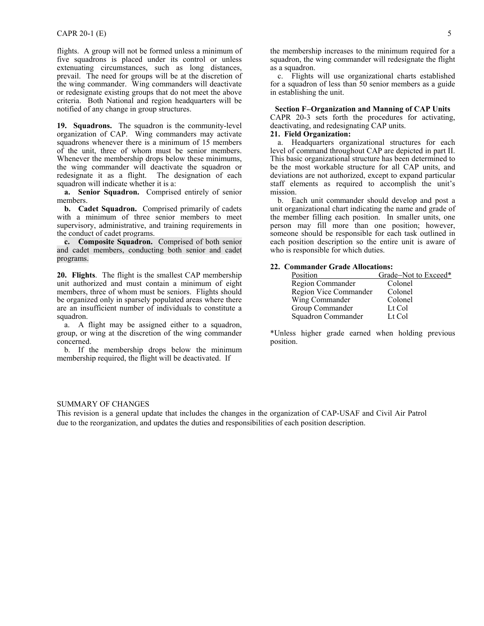<span id="page-4-0"></span>flights. A group will not be formed unless a minimum of five squadrons is placed under its control or unless extenuating circumstances, such as long distances, prevail. The need for groups will be at the discretion of the wing commander. Wing commanders will deactivate or redesignate existing groups that do not meet the above criteria. Both National and region headquarters will be notified of any change in group structures.

**19. Squadrons.** The squadron is the community-level organization of CAP. Wing commanders may activate squadrons whenever there is a minimum of 15 members of the unit, three of whom must be senior members. Whenever the membership drops below these minimums, the wing commander will deactivate the squadron or redesignate it as a flight. The designation of each squadron will indicate whether it is a:

**a. Senior Squadron.** Comprised entirely of senior members.

**b. Cadet Squadron.** Comprised primarily of cadets with a minimum of three senior members to meet supervisory, administrative, and training requirements in the conduct of cadet programs.

**c. Composite Squadron.** Comprised of both senior and cadet members, conducting both senior and cadet programs.

**20. Flights**. The flight is the smallest CAP membership unit authorized and must contain a minimum of eight members, three of whom must be seniors. Flights should be organized only in sparsely populated areas where there are an insufficient number of individuals to constitute a squadron.

a. A flight may be assigned either to a squadron, group, or wing at the discretion of the wing commander concerned.

b. If the membership drops below the minimum membership required, the flight will be deactivated. If

the membership increases to the minimum required for a squadron, the wing commander will redesignate the flight as a squadron.

c. Flights will use organizational charts established for a squadron of less than 50 senior members as a guide in establishing the unit.

**Section F**−**Organization and Manning of CAP Units** 

CAPR 20-3 sets forth the procedures for activating, deactivating, and redesignating CAP units.

# **21. Field Organization:**

a. Headquarters organizational structures for each level of command throughout CAP are depicted in part II. This basic organizational structure has been determined to be the most workable structure for all CAP units, and deviations are not authorized, except to expand particular staff elements as required to accomplish the unit's mission.

b. Each unit commander should develop and post a unit organizational chart indicating the name and grade of the member filling each position. In smaller units, one person may fill more than one position; however, someone should be responsible for each task outlined in each position description so the entire unit is aware of who is responsible for which duties.

#### **22. Commander Grade Allocations:**

| Position              | Grade-Not to Exceed* |
|-----------------------|----------------------|
| Region Commander      | Colonel              |
| Region Vice Commander | Colonel              |
| Wing Commander        | Colonel              |
| Group Commander       | Lt Col               |
| Squadron Commander    | Lt Col               |

\*Unless higher grade earned when holding previous position.

#### SUMMARY OF CHANGES

This revision is a general update that includes the changes in the organization of CAP-USAF and Civil Air Patrol due to the reorganization, and updates the duties and responsibilities of each position description.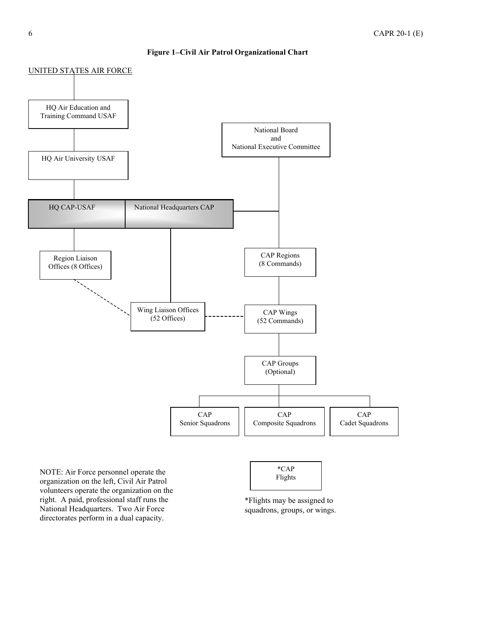# **Figure 1**−**Civil Air Patrol Organizational Chart**

<span id="page-5-0"></span>

National Headquarters. Two Air Force directorates perform in a dual capacity.

\*Flights may be assigned to squadrons, groups, or wings.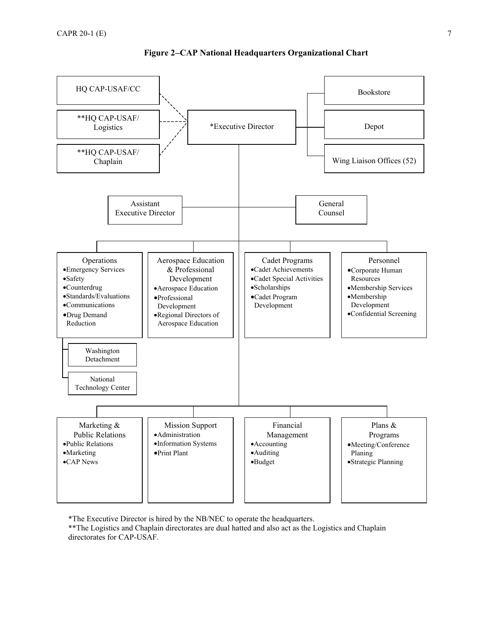<span id="page-6-0"></span>

# **Figure 2**−**CAP National Headquarters Organizational Chart**

\*The Executive Director is hired by the NB/NEC to operate the headquarters. \*\*The Logistics and Chaplain directorates are dual hatted and also act as the Logistics and Chaplain directorates for CAP-USAF.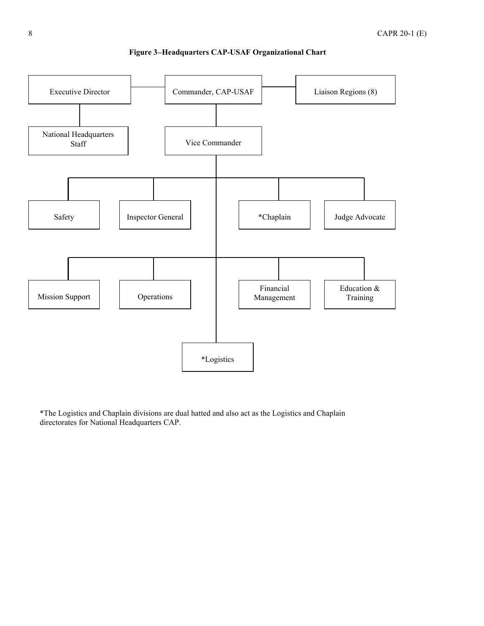<span id="page-7-0"></span>

# **Figure 3**−**Headquarters CAP-USAF Organizational Chart**

\*The Logistics and Chaplain divisions are dual hatted and also act as the Logistics and Chaplain directorates for National Headquarters CAP.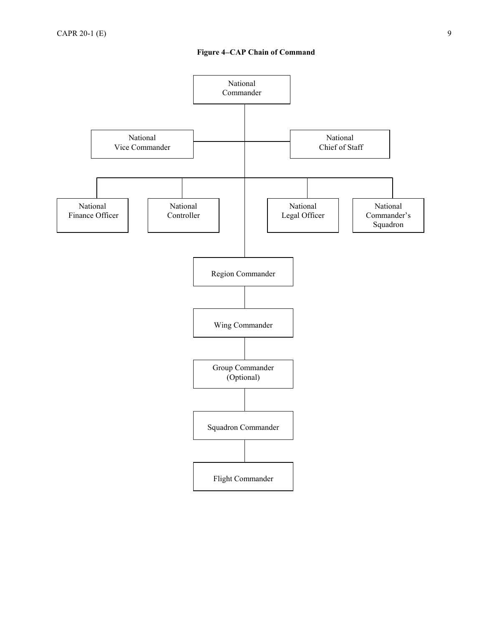<span id="page-8-0"></span>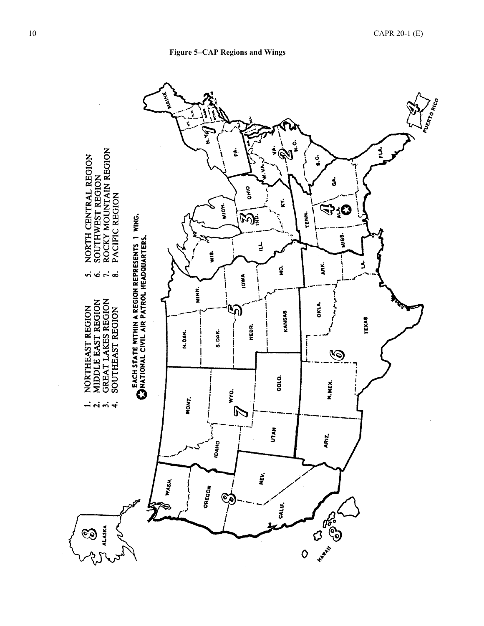

<span id="page-9-0"></span>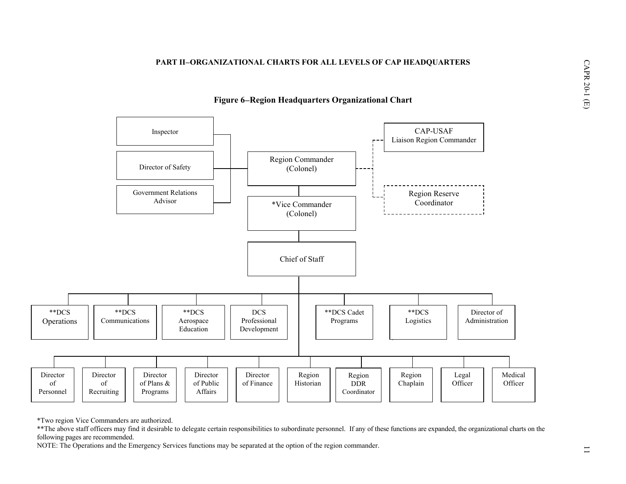#### **PART II**−**ORGANIZATIONAL CHARTS FOR ALL LEVELS OF CAP HEADQUARTERS**



# **Figure 6**−**Region Headquarters Organizational Chart**

\*Two region Vice Commanders are authorized.

\*\*The above staff officers may find it desirable to delegate certain responsibilities to subordinate personnel. If any of these functions are expanded, the organizational charts on the following pages are recommended.

<span id="page-10-0"></span>NOTE: The Operations and the Emergency Services functions may be separated at the option of the region commander.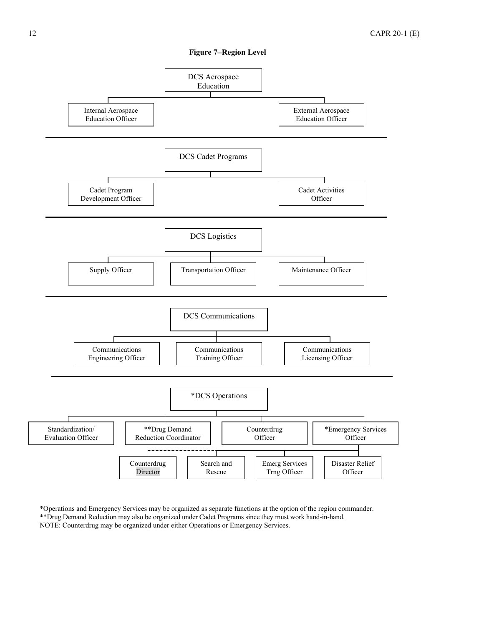

<span id="page-11-0"></span>

\*Operations and Emergency Services may be organized as separate functions at the option of the region commander. \*\*Drug Demand Reduction may also be organized under Cadet Programs since they must work hand-in-hand. NOTE: Counterdrug may be organized under either Operations or Emergency Services.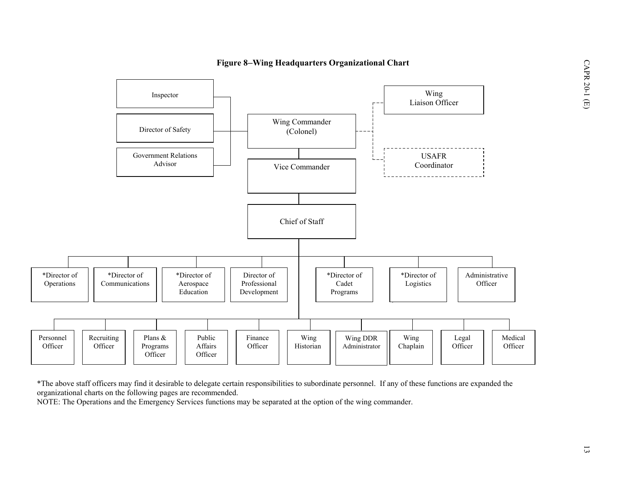

# **Figure 8**−**Wing Headquarters Organizational Chart**

<span id="page-12-0"></span>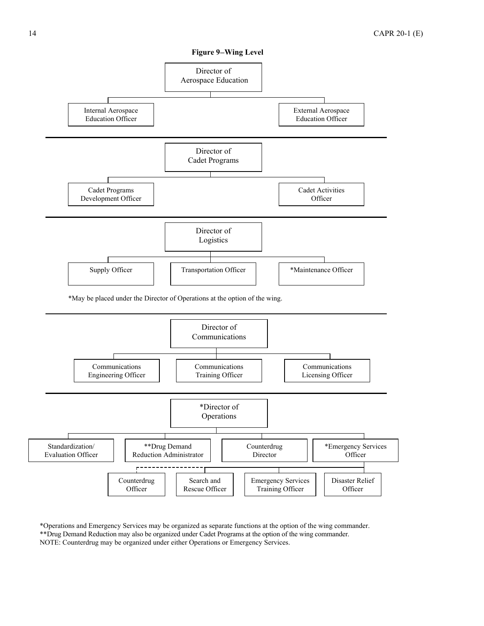<span id="page-13-0"></span>

\*Operations and Emergency Services may be organized as separate functions at the option of the wing commander. \*\*Drug Demand Reduction may also be organized under Cadet Programs at the option of the wing commander. NOTE: Counterdrug may be organized under either Operations or Emergency Services.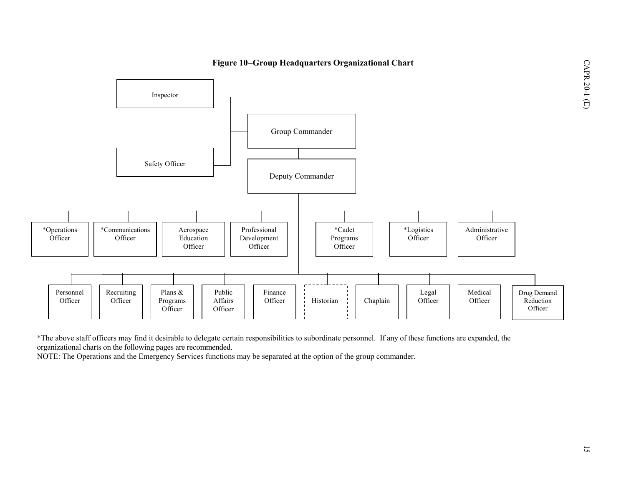



\*The above staff officers may find it desirable to delegate certain responsibilities to subordinate personnel. If any of these functions are expanded, the organizational charts on the following pages are recommended.

<span id="page-14-0"></span>NOTE: The Operations and the Emergency Services functions may be separated at the option of the group commander.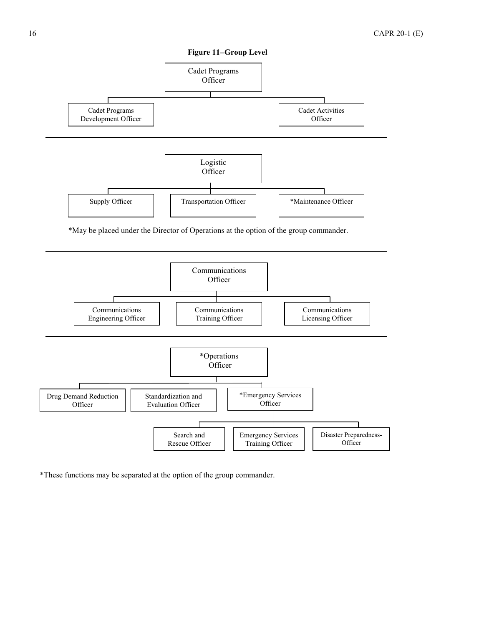

<span id="page-15-0"></span>

Emergency Services Training Officer

Disaster Preparedness-**Officer** 

\*These functions may be separated at the option of the group commander.

Search and Rescue Officer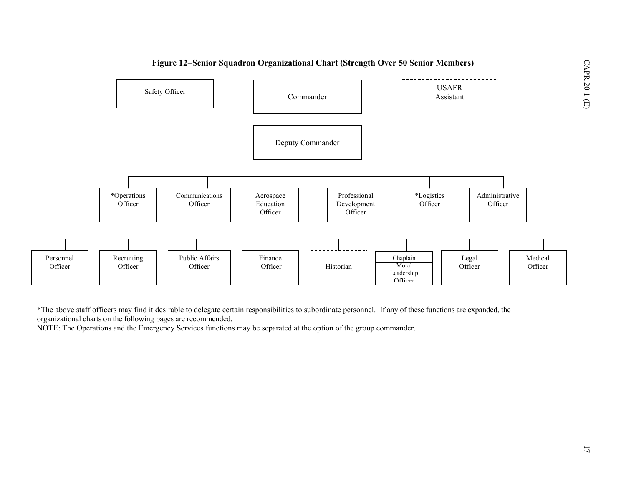

\*The above staff officers may find it desirable to delegate certain responsibilities to subordinate personnel. If any of these functions are expanded, the organizational charts on the following pages are recommended.

<span id="page-16-0"></span>NOTE: The Operations and the Emergency Services functions may be separated at the option of the group commander.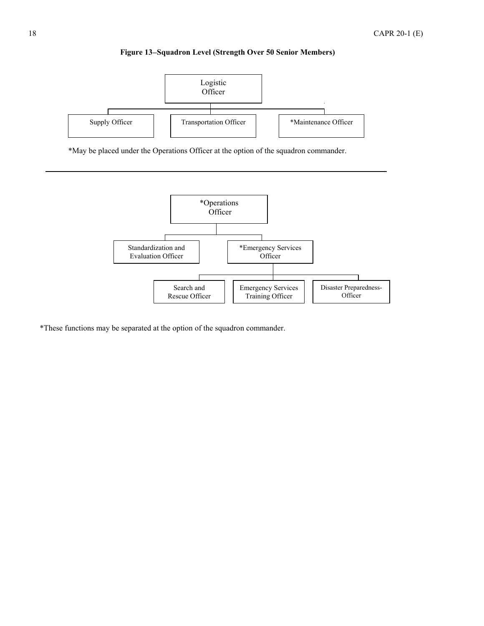

<span id="page-17-0"></span>

\*May be placed under the Operations Officer at the option of the squadron commander.



\*These functions may be separated at the option of the squadron commander.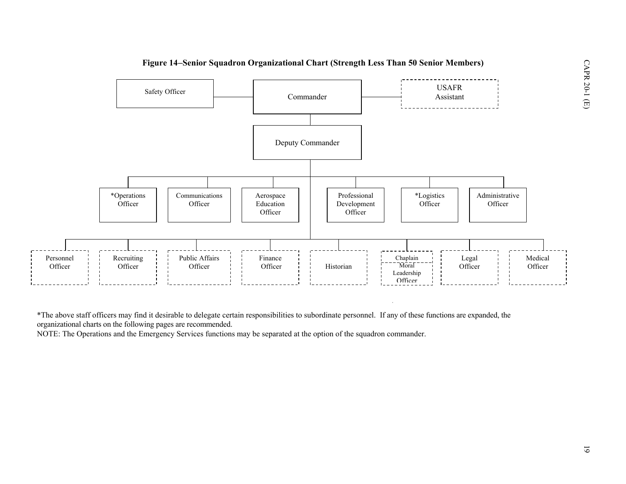

<span id="page-18-0"></span>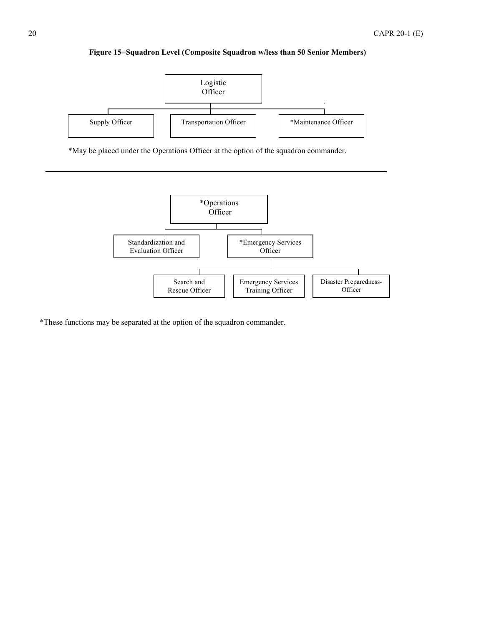# **Figure 15**−**Squadron Level (Composite Squadron w/less than 50 Senior Members)**

<span id="page-19-0"></span>

\*May be placed under the Operations Officer at the option of the squadron commander.



\*These functions may be separated at the option of the squadron commander.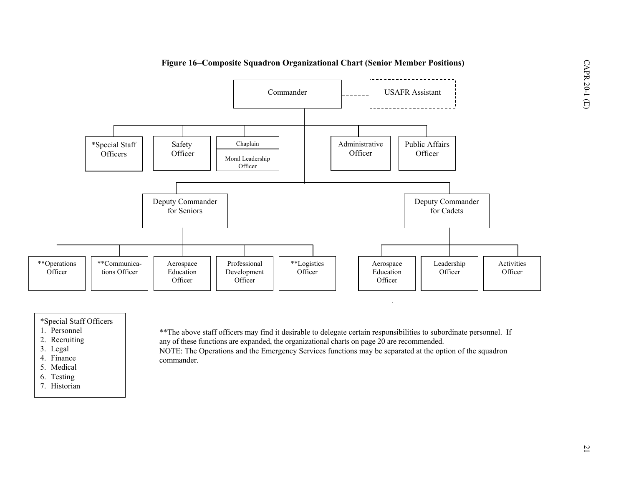

# \*Special Staff Officers

- 1. Personnel
- 2. Recruiting
- 3. Legal
- 4. Finance
- 5. Medical
- 6. Testing
- <span id="page-20-0"></span>7. Historian

\*\*The above staff officers may find it desirable to delegate certain responsibilities to subordinate personnel. If any of these functions are expanded, the organizational charts on page 20 are recommended. NOTE: The Operations and the Emergency Services functions may be separated at the option of the squadron commander.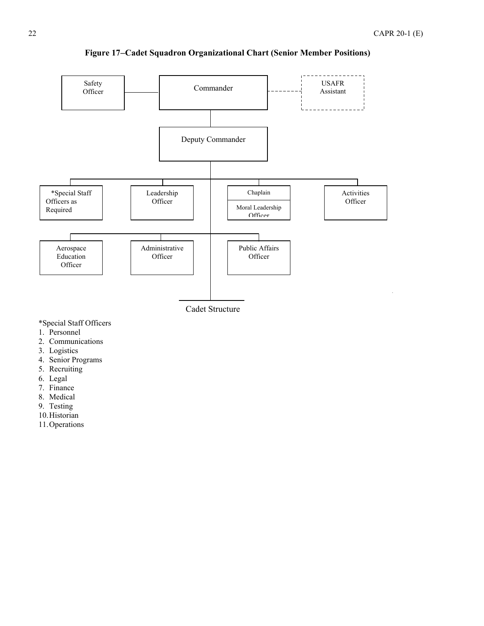<span id="page-21-0"></span>![](_page_21_Figure_1.jpeg)

**Figure 17**−**Cadet Squadron Organizational Chart (Senior Member Positions)** 

\*Special Staff Officers

- 1. Personnel
- 2. Communications
- 3. Logistics
- 4. Senior Programs
- 5. Recruiting
- 6. Legal
- 7. Finance
- 8. Medical
- 9. Testing
- 10. Historian
- 11. Operations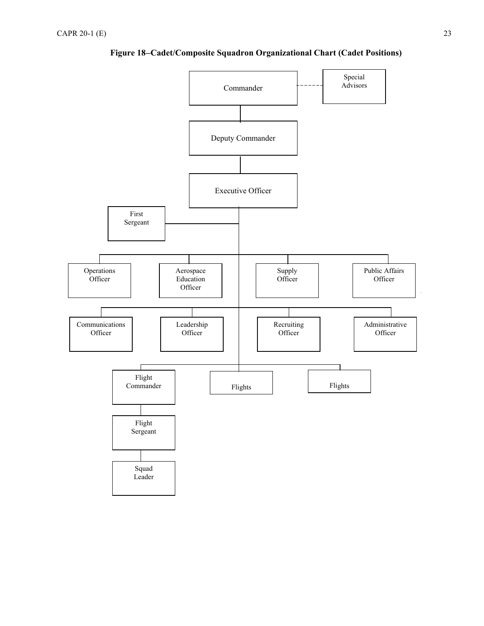<span id="page-22-0"></span>![](_page_22_Figure_1.jpeg)

**Figure 18**−**Cadet/Composite Squadron Organizational Chart (Cadet Positions)**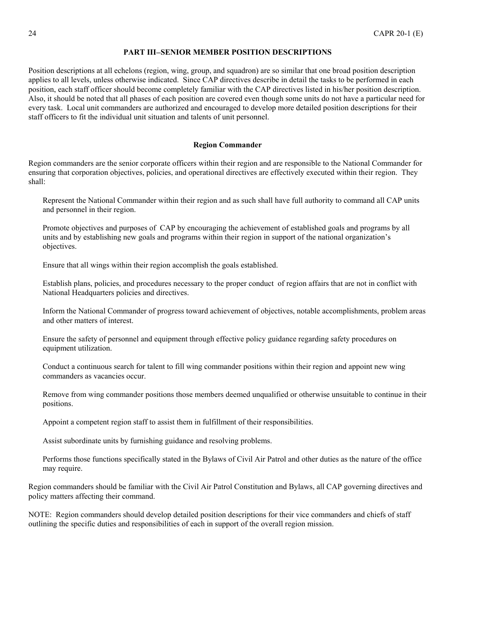#### **PART III**−**SENIOR MEMBER POSITION DESCRIPTIONS**

<span id="page-23-0"></span>Position descriptions at all echelons (region, wing, group, and squadron) are so similar that one broad position description applies to all levels, unless otherwise indicated. Since CAP directives describe in detail the tasks to be performed in each position, each staff officer should become completely familiar with the CAP directives listed in his/her position description. Also, it should be noted that all phases of each position are covered even though some units do not have a particular need for every task. Local unit commanders are authorized and encouraged to develop more detailed position descriptions for their staff officers to fit the individual unit situation and talents of unit personnel.

### **Region Commander**

Region commanders are the senior corporate officers within their region and are responsible to the National Commander for ensuring that corporation objectives, policies, and operational directives are effectively executed within their region. They shall:

Represent the National Commander within their region and as such shall have full authority to command all CAP units and personnel in their region.

Promote objectives and purposes of CAP by encouraging the achievement of established goals and programs by all units and by establishing new goals and programs within their region in support of the national organization's objectives.

Ensure that all wings within their region accomplish the goals established.

Establish plans, policies, and procedures necessary to the proper conduct of region affairs that are not in conflict with National Headquarters policies and directives.

Inform the National Commander of progress toward achievement of objectives, notable accomplishments, problem areas and other matters of interest.

Ensure the safety of personnel and equipment through effective policy guidance regarding safety procedures on equipment utilization.

Conduct a continuous search for talent to fill wing commander positions within their region and appoint new wing commanders as vacancies occur.

Remove from wing commander positions those members deemed unqualified or otherwise unsuitable to continue in their positions.

Appoint a competent region staff to assist them in fulfillment of their responsibilities.

Assist subordinate units by furnishing guidance and resolving problems.

Performs those functions specifically stated in the Bylaws of Civil Air Patrol and other duties as the nature of the office may require.

Region commanders should be familiar with the Civil Air Patrol Constitution and Bylaws, all CAP governing directives and policy matters affecting their command.

NOTE: Region commanders should develop detailed position descriptions for their vice commanders and chiefs of staff outlining the specific duties and responsibilities of each in support of the overall region mission.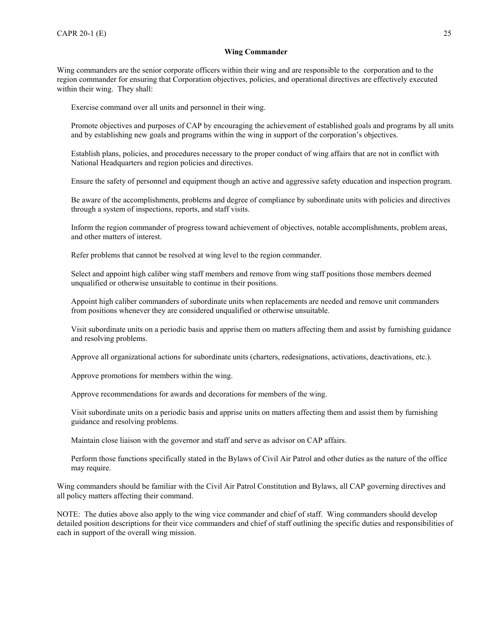### **Wing Commander**

<span id="page-24-0"></span>Wing commanders are the senior corporate officers within their wing and are responsible to the corporation and to the region commander for ensuring that Corporation objectives, policies, and operational directives are effectively executed within their wing. They shall:

Exercise command over all units and personnel in their wing.

Promote objectives and purposes of CAP by encouraging the achievement of established goals and programs by all units and by establishing new goals and programs within the wing in support of the corporation's objectives.

Establish plans, policies, and procedures necessary to the proper conduct of wing affairs that are not in conflict with National Headquarters and region policies and directives.

Ensure the safety of personnel and equipment though an active and aggressive safety education and inspection program.

Be aware of the accomplishments, problems and degree of compliance by subordinate units with policies and directives through a system of inspections, reports, and staff visits.

Inform the region commander of progress toward achievement of objectives, notable accomplishments, problem areas, and other matters of interest.

Refer problems that cannot be resolved at wing level to the region commander.

Select and appoint high caliber wing staff members and remove from wing staff positions those members deemed unqualified or otherwise unsuitable to continue in their positions.

Appoint high caliber commanders of subordinate units when replacements are needed and remove unit commanders from positions whenever they are considered unqualified or otherwise unsuitable.

Visit subordinate units on a periodic basis and apprise them on matters affecting them and assist by furnishing guidance and resolving problems.

Approve all organizational actions for subordinate units (charters, redesignations, activations, deactivations, etc.).

Approve promotions for members within the wing.

Approve recommendations for awards and decorations for members of the wing.

Visit subordinate units on a periodic basis and apprise units on matters affecting them and assist them by furnishing guidance and resolving problems.

Maintain close liaison with the governor and staff and serve as advisor on CAP affairs.

Perform those functions specifically stated in the Bylaws of Civil Air Patrol and other duties as the nature of the office may require.

Wing commanders should be familiar with the Civil Air Patrol Constitution and Bylaws, all CAP governing directives and all policy matters affecting their command.

NOTE: The duties above also apply to the wing vice commander and chief of staff. Wing commanders should develop detailed position descriptions for their vice commanders and chief of staff outlining the specific duties and responsibilities of each in support of the overall wing mission.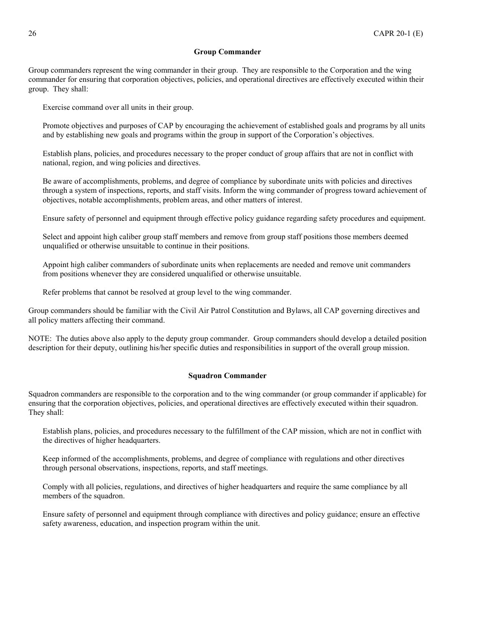# **Group Commander**

<span id="page-25-0"></span>Group commanders represent the wing commander in their group. They are responsible to the Corporation and the wing commander for ensuring that corporation objectives, policies, and operational directives are effectively executed within their group. They shall:

Exercise command over all units in their group.

Promote objectives and purposes of CAP by encouraging the achievement of established goals and programs by all units and by establishing new goals and programs within the group in support of the Corporation's objectives.

Establish plans, policies, and procedures necessary to the proper conduct of group affairs that are not in conflict with national, region, and wing policies and directives.

Be aware of accomplishments, problems, and degree of compliance by subordinate units with policies and directives through a system of inspections, reports, and staff visits. Inform the wing commander of progress toward achievement of objectives, notable accomplishments, problem areas, and other matters of interest.

Ensure safety of personnel and equipment through effective policy guidance regarding safety procedures and equipment.

Select and appoint high caliber group staff members and remove from group staff positions those members deemed unqualified or otherwise unsuitable to continue in their positions.

Appoint high caliber commanders of subordinate units when replacements are needed and remove unit commanders from positions whenever they are considered unqualified or otherwise unsuitable.

Refer problems that cannot be resolved at group level to the wing commander.

Group commanders should be familiar with the Civil Air Patrol Constitution and Bylaws, all CAP governing directives and all policy matters affecting their command.

NOTE: The duties above also apply to the deputy group commander. Group commanders should develop a detailed position description for their deputy, outlining his/her specific duties and responsibilities in support of the overall group mission.

# **Squadron Commander**

Squadron commanders are responsible to the corporation and to the wing commander (or group commander if applicable) for ensuring that the corporation objectives, policies, and operational directives are effectively executed within their squadron. They shall:

Establish plans, policies, and procedures necessary to the fulfillment of the CAP mission, which are not in conflict with the directives of higher headquarters.

Keep informed of the accomplishments, problems, and degree of compliance with regulations and other directives through personal observations, inspections, reports, and staff meetings.

Comply with all policies, regulations, and directives of higher headquarters and require the same compliance by all members of the squadron.

Ensure safety of personnel and equipment through compliance with directives and policy guidance; ensure an effective safety awareness, education, and inspection program within the unit.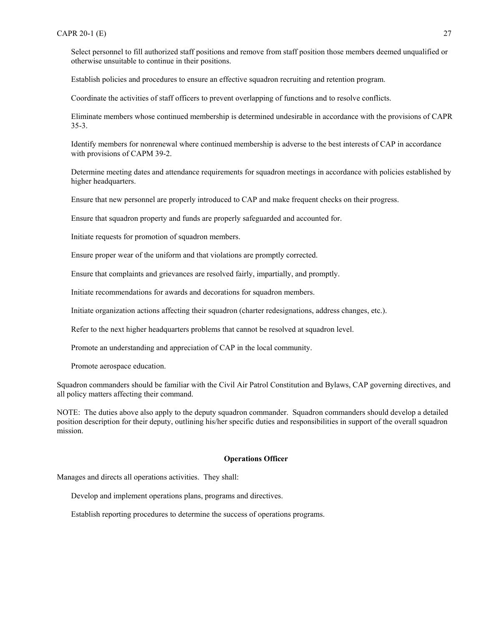<span id="page-26-0"></span>Select personnel to fill authorized staff positions and remove from staff position those members deemed unqualified or otherwise unsuitable to continue in their positions.

Establish policies and procedures to ensure an effective squadron recruiting and retention program.

Coordinate the activities of staff officers to prevent overlapping of functions and to resolve conflicts.

Eliminate members whose continued membership is determined undesirable in accordance with the provisions of CAPR 35-3.

Identify members for nonrenewal where continued membership is adverse to the best interests of CAP in accordance with provisions of CAPM 39-2.

Determine meeting dates and attendance requirements for squadron meetings in accordance with policies established by higher headquarters.

Ensure that new personnel are properly introduced to CAP and make frequent checks on their progress.

Ensure that squadron property and funds are properly safeguarded and accounted for.

Initiate requests for promotion of squadron members.

Ensure proper wear of the uniform and that violations are promptly corrected.

Ensure that complaints and grievances are resolved fairly, impartially, and promptly.

Initiate recommendations for awards and decorations for squadron members.

Initiate organization actions affecting their squadron (charter redesignations, address changes, etc.).

Refer to the next higher headquarters problems that cannot be resolved at squadron level.

Promote an understanding and appreciation of CAP in the local community.

Promote aerospace education.

Squadron commanders should be familiar with the Civil Air Patrol Constitution and Bylaws, CAP governing directives, and all policy matters affecting their command.

NOTE: The duties above also apply to the deputy squadron commander. Squadron commanders should develop a detailed position description for their deputy, outlining his/her specific duties and responsibilities in support of the overall squadron mission.

#### **Operations Officer**

Manages and directs all operations activities. They shall:

Develop and implement operations plans, programs and directives.

Establish reporting procedures to determine the success of operations programs.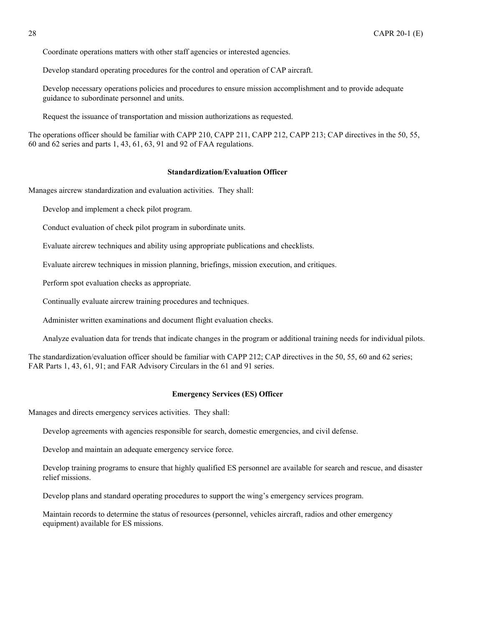<span id="page-27-0"></span>Coordinate operations matters with other staff agencies or interested agencies.

Develop standard operating procedures for the control and operation of CAP aircraft.

Develop necessary operations policies and procedures to ensure mission accomplishment and to provide adequate guidance to subordinate personnel and units.

Request the issuance of transportation and mission authorizations as requested.

The operations officer should be familiar with CAPP 210, CAPP 211, CAPP 212, CAPP 213; CAP directives in the 50, 55, 60 and 62 series and parts 1, 43, 61, 63, 91 and 92 of FAA regulations.

#### **Standardization/Evaluation Officer**

Manages aircrew standardization and evaluation activities. They shall:

Develop and implement a check pilot program.

Conduct evaluation of check pilot program in subordinate units.

Evaluate aircrew techniques and ability using appropriate publications and checklists.

Evaluate aircrew techniques in mission planning, briefings, mission execution, and critiques.

Perform spot evaluation checks as appropriate.

Continually evaluate aircrew training procedures and techniques.

Administer written examinations and document flight evaluation checks.

Analyze evaluation data for trends that indicate changes in the program or additional training needs for individual pilots.

The standardization/evaluation officer should be familiar with CAPP 212; CAP directives in the 50, 55, 60 and 62 series; FAR Parts 1, 43, 61, 91; and FAR Advisory Circulars in the 61 and 91 series.

#### **Emergency Services (ES) Officer**

Manages and directs emergency services activities. They shall:

Develop agreements with agencies responsible for search, domestic emergencies, and civil defense.

Develop and maintain an adequate emergency service force.

Develop training programs to ensure that highly qualified ES personnel are available for search and rescue, and disaster relief missions.

Develop plans and standard operating procedures to support the wing's emergency services program.

Maintain records to determine the status of resources (personnel, vehicles aircraft, radios and other emergency equipment) available for ES missions.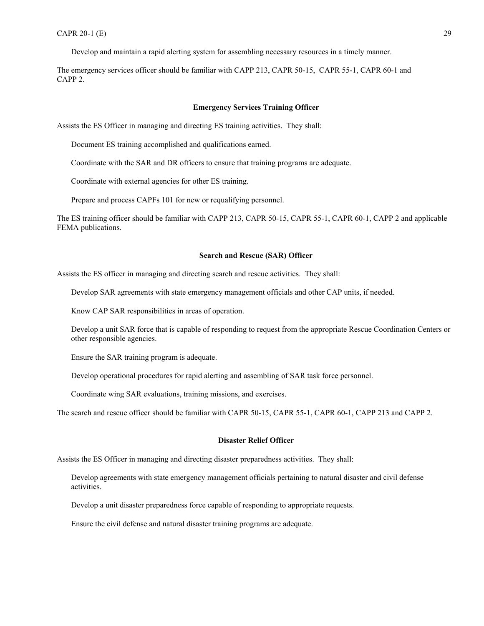<span id="page-28-0"></span>Develop and maintain a rapid alerting system for assembling necessary resources in a timely manner.

The emergency services officer should be familiar with CAPP 213, CAPR 50-15, CAPR 55-1, CAPR 60-1 and CAPP 2.

#### **Emergency Services Training Officer**

Assists the ES Officer in managing and directing ES training activities. They shall:

Document ES training accomplished and qualifications earned.

Coordinate with the SAR and DR officers to ensure that training programs are adequate.

Coordinate with external agencies for other ES training.

Prepare and process CAPFs 101 for new or requalifying personnel.

The ES training officer should be familiar with CAPP 213, CAPR 50-15, CAPR 55-1, CAPR 60-1, CAPP 2 and applicable FEMA publications.

#### **Search and Rescue (SAR) Officer**

Assists the ES officer in managing and directing search and rescue activities. They shall:

Develop SAR agreements with state emergency management officials and other CAP units, if needed.

Know CAP SAR responsibilities in areas of operation.

Develop a unit SAR force that is capable of responding to request from the appropriate Rescue Coordination Centers or other responsible agencies.

Ensure the SAR training program is adequate.

Develop operational procedures for rapid alerting and assembling of SAR task force personnel.

Coordinate wing SAR evaluations, training missions, and exercises.

The search and rescue officer should be familiar with CAPR 50-15, CAPR 55-1, CAPR 60-1, CAPP 213 and CAPP 2.

#### **Disaster Relief Officer**

Assists the ES Officer in managing and directing disaster preparedness activities. They shall:

Develop agreements with state emergency management officials pertaining to natural disaster and civil defense activities.

Develop a unit disaster preparedness force capable of responding to appropriate requests.

Ensure the civil defense and natural disaster training programs are adequate.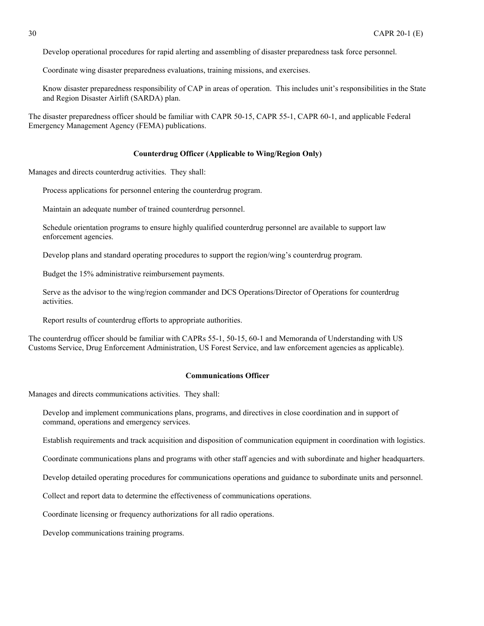<span id="page-29-0"></span>Develop operational procedures for rapid alerting and assembling of disaster preparedness task force personnel.

Coordinate wing disaster preparedness evaluations, training missions, and exercises.

Know disaster preparedness responsibility of CAP in areas of operation. This includes unit's responsibilities in the State and Region Disaster Airlift (SARDA) plan.

The disaster preparedness officer should be familiar with CAPR 50-15, CAPR 55-1, CAPR 60-1, and applicable Federal Emergency Management Agency (FEMA) publications.

#### **Counterdrug Officer (Applicable to Wing/Region Only)**

Manages and directs counterdrug activities. They shall:

Process applications for personnel entering the counterdrug program.

Maintain an adequate number of trained counterdrug personnel.

Schedule orientation programs to ensure highly qualified counterdrug personnel are available to support law enforcement agencies.

Develop plans and standard operating procedures to support the region/wing's counterdrug program.

Budget the 15% administrative reimbursement payments.

Serve as the advisor to the wing/region commander and DCS Operations/Director of Operations for counterdrug activities.

Report results of counterdrug efforts to appropriate authorities.

The counterdrug officer should be familiar with CAPRs 55-1, 50-15, 60-1 and Memoranda of Understanding with US Customs Service, Drug Enforcement Administration, US Forest Service, and law enforcement agencies as applicable).

#### **Communications Officer**

Manages and directs communications activities. They shall:

Develop and implement communications plans, programs, and directives in close coordination and in support of command, operations and emergency services.

Establish requirements and track acquisition and disposition of communication equipment in coordination with logistics.

Coordinate communications plans and programs with other staff agencies and with subordinate and higher headquarters.

Develop detailed operating procedures for communications operations and guidance to subordinate units and personnel.

Collect and report data to determine the effectiveness of communications operations.

Coordinate licensing or frequency authorizations for all radio operations.

Develop communications training programs.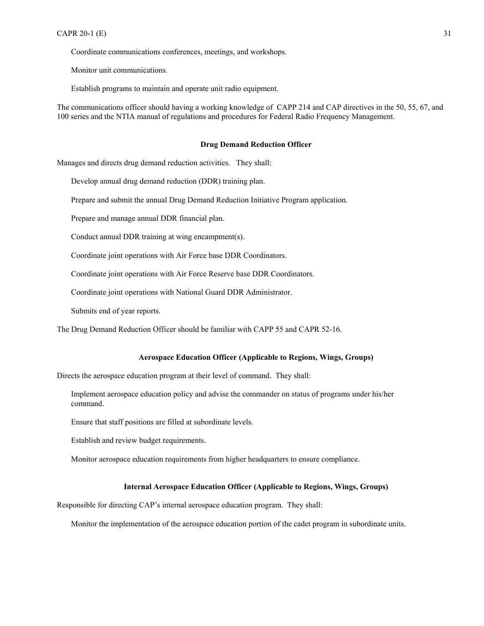<span id="page-30-0"></span>Coordinate communications conferences, meetings, and workshops.

Monitor unit communications.

Establish programs to maintain and operate unit radio equipment.

The communications officer should having a working knowledge of CAPP 214 and CAP directives in the 50, 55, 67, and 100 series and the NTIA manual of regulations and procedures for Federal Radio Frequency Management.

#### **Drug Demand Reduction Officer**

Manages and directs drug demand reduction activities. They shall:

Develop annual drug demand reduction (DDR) training plan.

Prepare and submit the annual Drug Demand Reduction Initiative Program application.

Prepare and manage annual DDR financial plan.

Conduct annual DDR training at wing encampment(s).

Coordinate joint operations with Air Force base DDR Coordinators.

Coordinate joint operations with Air Force Reserve base DDR Coordinators.

Coordinate joint operations with National Guard DDR Administrator.

Submits end of year reports.

The Drug Demand Reduction Officer should be familiar with CAPP 55 and CAPR 52-16.

### **Aerospace Education Officer (Applicable to Regions, Wings, Groups)**

Directs the aerospace education program at their level of command. They shall:

Implement aerospace education policy and advise the commander on status of programs under his/her command.

Ensure that staff positions are filled at subordinate levels.

Establish and review budget requirements.

Monitor aerospace education requirements from higher headquarters to ensure compliance.

## **Internal Aerospace Education Officer (Applicable to Regions, Wings, Groups)**

Responsible for directing CAP's internal aerospace education program. They shall:

Monitor the implementation of the aerospace education portion of the cadet program in subordinate units.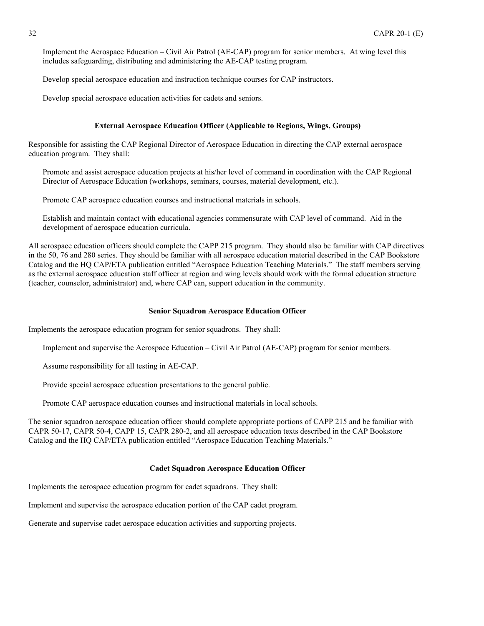<span id="page-31-0"></span>Implement the Aerospace Education – Civil Air Patrol (AE-CAP) program for senior members. At wing level this includes safeguarding, distributing and administering the AE-CAP testing program.

Develop special aerospace education and instruction technique courses for CAP instructors.

Develop special aerospace education activities for cadets and seniors.

### **External Aerospace Education Officer (Applicable to Regions, Wings, Groups)**

Responsible for assisting the CAP Regional Director of Aerospace Education in directing the CAP external aerospace education program. They shall:

Promote and assist aerospace education projects at his/her level of command in coordination with the CAP Regional Director of Aerospace Education (workshops, seminars, courses, material development, etc.).

Promote CAP aerospace education courses and instructional materials in schools.

Establish and maintain contact with educational agencies commensurate with CAP level of command. Aid in the development of aerospace education curricula.

All aerospace education officers should complete the CAPP 215 program. They should also be familiar with CAP directives in the 50, 76 and 280 series. They should be familiar with all aerospace education material described in the CAP Bookstore Catalog and the HQ CAP/ETA publication entitled "Aerospace Education Teaching Materials." The staff members serving as the external aerospace education staff officer at region and wing levels should work with the formal education structure (teacher, counselor, administrator) and, where CAP can, support education in the community.

#### **Senior Squadron Aerospace Education Officer**

Implements the aerospace education program for senior squadrons. They shall:

Implement and supervise the Aerospace Education – Civil Air Patrol (AE-CAP) program for senior members.

Assume responsibility for all testing in AE-CAP.

Provide special aerospace education presentations to the general public.

Promote CAP aerospace education courses and instructional materials in local schools.

The senior squadron aerospace education officer should complete appropriate portions of CAPP 215 and be familiar with CAPR 50-17, CAPR 50-4, CAPP 15, CAPR 280-2, and all aerospace education texts described in the CAP Bookstore Catalog and the HQ CAP/ETA publication entitled "Aerospace Education Teaching Materials."

#### **Cadet Squadron Aerospace Education Officer**

Implements the aerospace education program for cadet squadrons. They shall:

Implement and supervise the aerospace education portion of the CAP cadet program.

Generate and supervise cadet aerospace education activities and supporting projects.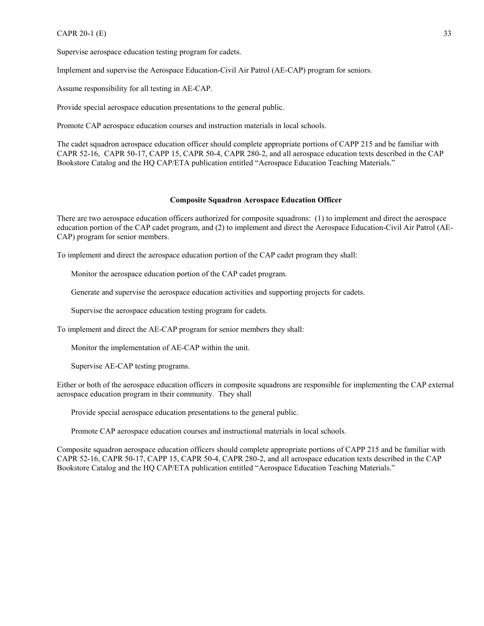<span id="page-32-0"></span>Supervise aerospace education testing program for cadets.

Implement and supervise the Aerospace Education-Civil Air Patrol (AE-CAP) program for seniors.

Assume responsibility for all testing in AE-CAP.

Provide special aerospace education presentations to the general public.

Promote CAP aerospace education courses and instruction materials in local schools.

The cadet squadron aerospace education officer should complete appropriate portions of CAPP 215 and be familiar with CAPR 52-16, CAPR 50-17, CAPP 15, CAPR 50-4, CAPR 280-2, and all aerospace education texts described in the CAP Bookstore Catalog and the HQ CAP/ETA publication entitled "Aerospace Education Teaching Materials."

#### **Composite Squadron Aerospace Education Officer**

There are two aerospace education officers authorized for composite squadrons: (1) to implement and direct the aerospace education portion of the CAP cadet program, and (2) to implement and direct the Aerospace Education-Civil Air Patrol (AE-CAP) program for senior members.

To implement and direct the aerospace education portion of the CAP cadet program they shall:

Monitor the aerospace education portion of the CAP cadet program.

Generate and supervise the aerospace education activities and supporting projects for cadets.

Supervise the aerospace education testing program for cadets.

To implement and direct the AE-CAP program for senior members they shall:

Monitor the implementation of AE-CAP within the unit.

Supervise AE-CAP testing programs.

Either or both of the aerospace education officers in composite squadrons are responsible for implementing the CAP external aerospace education program in their community. They shall

Provide special aerospace education presentations to the general public.

Promote CAP aerospace education courses and instructional materials in local schools.

Composite squadron aerospace education officers should complete appropriate portions of CAPP 215 and be familiar with CAPR 52-16, CAPR 50-17, CAPP 15, CAPR 50-4, CAPR 280-2, and all aerospace education texts described in the CAP Bookstore Catalog and the HQ CAP/ETA publication entitled "Aerospace Education Teaching Materials."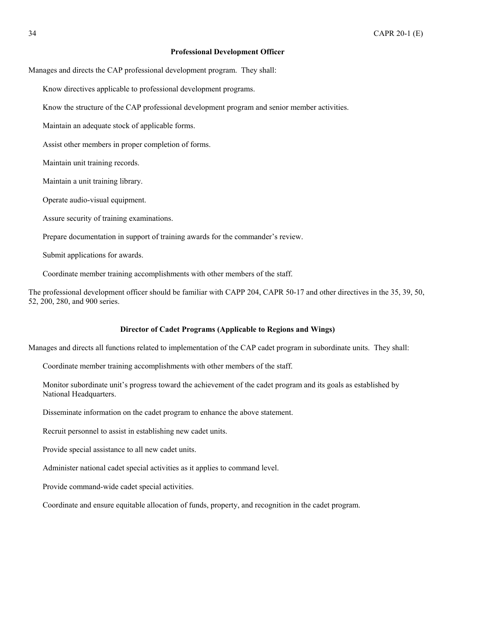#### **Professional Development Officer**

<span id="page-33-0"></span>Manages and directs the CAP professional development program. They shall:

Know directives applicable to professional development programs.

Know the structure of the CAP professional development program and senior member activities.

Maintain an adequate stock of applicable forms.

Assist other members in proper completion of forms.

Maintain unit training records.

Maintain a unit training library.

Operate audio-visual equipment.

Assure security of training examinations.

Prepare documentation in support of training awards for the commander's review.

Submit applications for awards.

Coordinate member training accomplishments with other members of the staff.

The professional development officer should be familiar with CAPP 204, CAPR 50-17 and other directives in the 35, 39, 50, 52, 200, 280, and 900 series.

#### **Director of Cadet Programs (Applicable to Regions and Wings)**

Manages and directs all functions related to implementation of the CAP cadet program in subordinate units. They shall:

Coordinate member training accomplishments with other members of the staff.

Monitor subordinate unit's progress toward the achievement of the cadet program and its goals as established by National Headquarters.

Disseminate information on the cadet program to enhance the above statement.

Recruit personnel to assist in establishing new cadet units.

Provide special assistance to all new cadet units.

Administer national cadet special activities as it applies to command level.

Provide command-wide cadet special activities.

Coordinate and ensure equitable allocation of funds, property, and recognition in the cadet program.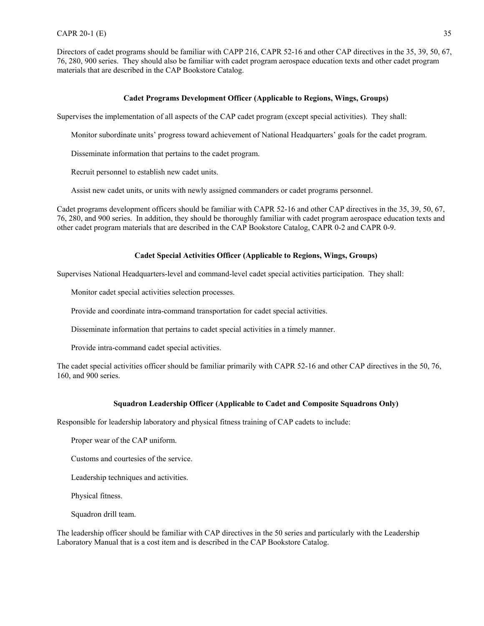<span id="page-34-0"></span>Directors of cadet programs should be familiar with CAPP 216, CAPR 52-16 and other CAP directives in the 35, 39, 50, 67, 76, 280, 900 series. They should also be familiar with cadet program aerospace education texts and other cadet program materials that are described in the CAP Bookstore Catalog.

#### **Cadet Programs Development Officer (Applicable to Regions, Wings, Groups)**

Supervises the implementation of all aspects of the CAP cadet program (except special activities). They shall:

Monitor subordinate units' progress toward achievement of National Headquarters' goals for the cadet program.

Disseminate information that pertains to the cadet program.

Recruit personnel to establish new cadet units.

Assist new cadet units, or units with newly assigned commanders or cadet programs personnel.

Cadet programs development officers should be familiar with CAPR 52-16 and other CAP directives in the 35, 39, 50, 67, 76, 280, and 900 series. In addition, they should be thoroughly familiar with cadet program aerospace education texts and other cadet program materials that are described in the CAP Bookstore Catalog, CAPR 0-2 and CAPR 0-9.

#### **Cadet Special Activities Officer (Applicable to Regions, Wings, Groups)**

Supervises National Headquarters-level and command-level cadet special activities participation. They shall:

Monitor cadet special activities selection processes.

Provide and coordinate intra-command transportation for cadet special activities.

Disseminate information that pertains to cadet special activities in a timely manner.

Provide intra-command cadet special activities.

The cadet special activities officer should be familiar primarily with CAPR 52-16 and other CAP directives in the 50, 76, 160, and 900 series.

#### **Squadron Leadership Officer (Applicable to Cadet and Composite Squadrons Only)**

Responsible for leadership laboratory and physical fitness training of CAP cadets to include:

Proper wear of the CAP uniform.

Customs and courtesies of the service.

Leadership techniques and activities.

Physical fitness.

Squadron drill team.

The leadership officer should be familiar with CAP directives in the 50 series and particularly with the Leadership Laboratory Manual that is a cost item and is described in the CAP Bookstore Catalog.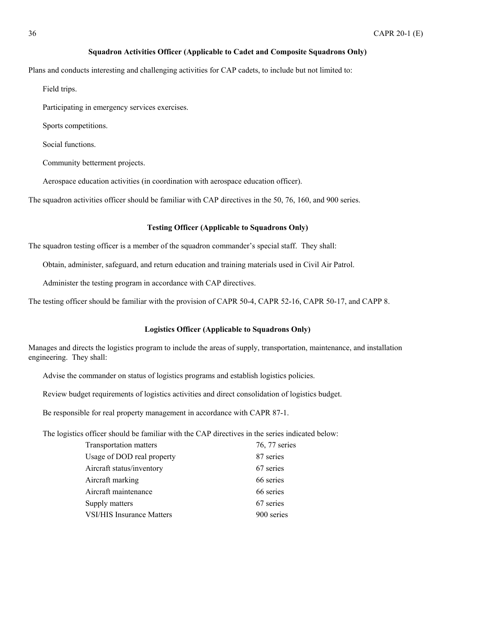# **Squadron Activities Officer (Applicable to Cadet and Composite Squadrons Only)**

<span id="page-35-0"></span>Plans and conducts interesting and challenging activities for CAP cadets, to include but not limited to:

Field trips.

Participating in emergency services exercises.

Sports competitions.

Social functions.

Community betterment projects.

Aerospace education activities (in coordination with aerospace education officer).

The squadron activities officer should be familiar with CAP directives in the 50, 76, 160, and 900 series.

# **Testing Officer (Applicable to Squadrons Only)**

The squadron testing officer is a member of the squadron commander's special staff. They shall:

Obtain, administer, safeguard, and return education and training materials used in Civil Air Patrol.

Administer the testing program in accordance with CAP directives.

The testing officer should be familiar with the provision of CAPR 50-4, CAPR 52-16, CAPR 50-17, and CAPP 8.

#### **Logistics Officer (Applicable to Squadrons Only)**

Manages and directs the logistics program to include the areas of supply, transportation, maintenance, and installation engineering. They shall:

Advise the commander on status of logistics programs and establish logistics policies.

Review budget requirements of logistics activities and direct consolidation of logistics budget.

Be responsible for real property management in accordance with CAPR 87-1.

The logistics officer should be familiar with the CAP directives in the series indicated below:

| Transportation matters           | 76, 77 series |
|----------------------------------|---------------|
| Usage of DOD real property       | 87 series     |
| Aircraft status/inventory        | 67 series     |
| Aircraft marking                 | 66 series     |
| Aircraft maintenance             | 66 series     |
| Supply matters                   | 67 series     |
| <b>VSI/HIS Insurance Matters</b> | 900 series    |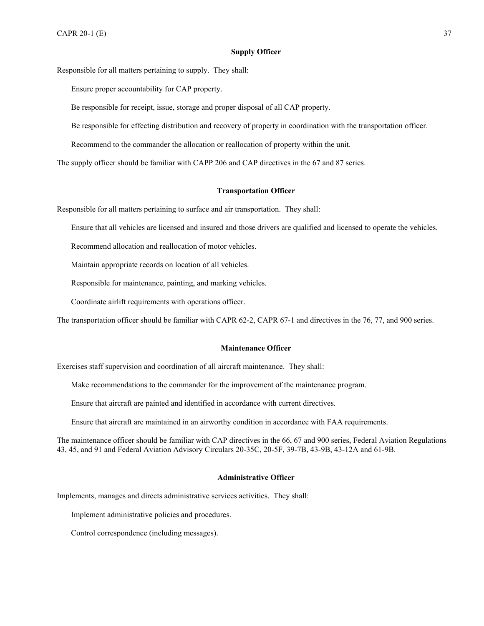#### **Supply Officer**

<span id="page-36-0"></span>Responsible for all matters pertaining to supply. They shall:

Ensure proper accountability for CAP property.

Be responsible for receipt, issue, storage and proper disposal of all CAP property.

Be responsible for effecting distribution and recovery of property in coordination with the transportation officer.

Recommend to the commander the allocation or reallocation of property within the unit.

The supply officer should be familiar with CAPP 206 and CAP directives in the 67 and 87 series.

### **Transportation Officer**

Responsible for all matters pertaining to surface and air transportation. They shall:

Ensure that all vehicles are licensed and insured and those drivers are qualified and licensed to operate the vehicles.

Recommend allocation and reallocation of motor vehicles.

Maintain appropriate records on location of all vehicles.

Responsible for maintenance, painting, and marking vehicles.

Coordinate airlift requirements with operations officer.

The transportation officer should be familiar with CAPR 62-2, CAPR 67-1 and directives in the 76, 77, and 900 series.

#### **Maintenance Officer**

Exercises staff supervision and coordination of all aircraft maintenance. They shall:

Make recommendations to the commander for the improvement of the maintenance program.

Ensure that aircraft are painted and identified in accordance with current directives.

Ensure that aircraft are maintained in an airworthy condition in accordance with FAA requirements.

The maintenance officer should be familiar with CAP directives in the 66, 67 and 900 series, Federal Aviation Regulations 43, 45, and 91 and Federal Aviation Advisory Circulars 20-35C, 20-5F, 39-7B, 43-9B, 43-12A and 61-9B.

#### **Administrative Officer**

Implements, manages and directs administrative services activities. They shall:

Implement administrative policies and procedures.

Control correspondence (including messages).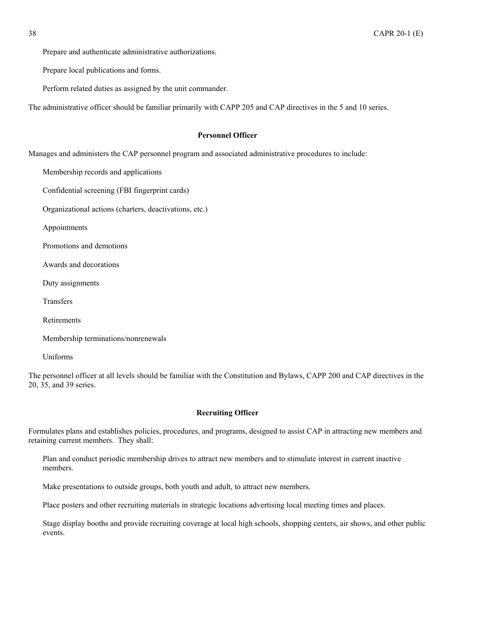<span id="page-37-0"></span>Prepare and authenticate administrative authorizations.

Prepare local publications and forms.

Perform related duties as assigned by the unit commander.

The administrative officer should be familiar primarily with CAPP 205 and CAP directives in the 5 and 10 series.

# **Personnel Officer**

Manages and administers the CAP personnel program and associated administrative procedures to include:

Membership records and applications

Confidential screening (FBI fingerprint cards)

Organizational actions (charters, deactivations, etc.)

Appointments

Promotions and demotions

Awards and decorations

Duty assignments

Transfers

Retirements

Membership terminations/nonrenewals

Uniforms

The personnel officer at all levels should be familiar with the Constitution and Bylaws, CAPP 200 and CAP directives in the 20, 35, and 39 series.

#### **Recruiting Officer**

Formulates plans and establishes policies, procedures, and programs, designed to assist CAP in attracting new members and retaining current members. They shall:

Plan and conduct periodic membership drives to attract new members and to stimulate interest in current inactive members.

Make presentations to outside groups, both youth and adult, to attract new members.

Place posters and other recruiting materials in strategic locations advertising local meeting times and places.

Stage display booths and provide recruiting coverage at local high schools, shopping centers, air shows, and other public events.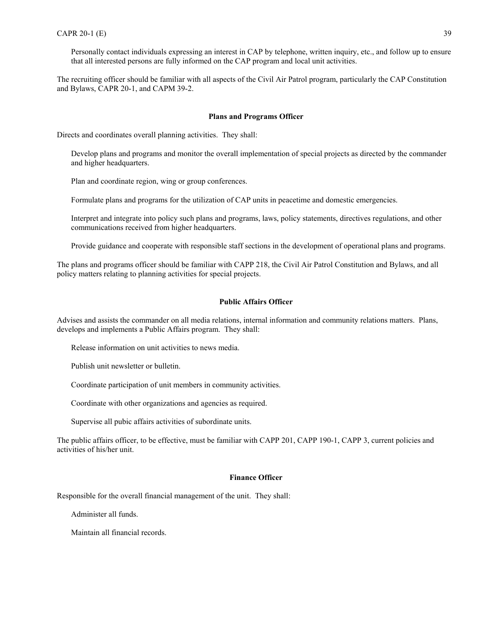<span id="page-38-0"></span>Personally contact individuals expressing an interest in CAP by telephone, written inquiry, etc., and follow up to ensure that all interested persons are fully informed on the CAP program and local unit activities.

The recruiting officer should be familiar with all aspects of the Civil Air Patrol program, particularly the CAP Constitution and Bylaws, CAPR 20-1, and CAPM 39-2.

#### **Plans and Programs Officer**

Directs and coordinates overall planning activities. They shall:

Develop plans and programs and monitor the overall implementation of special projects as directed by the commander and higher headquarters.

Plan and coordinate region, wing or group conferences.

Formulate plans and programs for the utilization of CAP units in peacetime and domestic emergencies.

Interpret and integrate into policy such plans and programs, laws, policy statements, directives regulations, and other communications received from higher headquarters.

Provide guidance and cooperate with responsible staff sections in the development of operational plans and programs.

The plans and programs officer should be familiar with CAPP 218, the Civil Air Patrol Constitution and Bylaws, and all policy matters relating to planning activities for special projects.

#### **Public Affairs Officer**

Advises and assists the commander on all media relations, internal information and community relations matters. Plans, develops and implements a Public Affairs program. They shall:

Release information on unit activities to news media.

Publish unit newsletter or bulletin.

Coordinate participation of unit members in community activities.

Coordinate with other organizations and agencies as required.

Supervise all pubic affairs activities of subordinate units.

The public affairs officer, to be effective, must be familiar with CAPP 201, CAPP 190-1, CAPP 3, current policies and activities of his/her unit.

#### **Finance Officer**

Responsible for the overall financial management of the unit. They shall:

Administer all funds.

Maintain all financial records.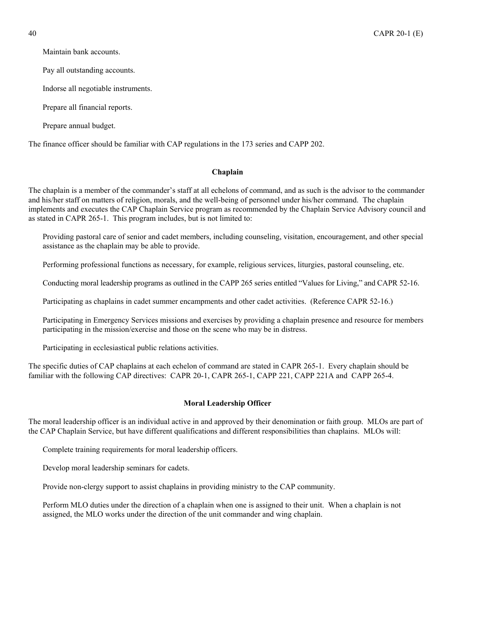<span id="page-39-0"></span>

Maintain bank accounts.

Pay all outstanding accounts.

Indorse all negotiable instruments.

Prepare all financial reports.

Prepare annual budget.

The finance officer should be familiar with CAP regulations in the 173 series and CAPP 202.

#### **Chaplain**

The chaplain is a member of the commander's staff at all echelons of command, and as such is the advisor to the commander and his/her staff on matters of religion, morals, and the well-being of personnel under his/her command. The chaplain implements and executes the CAP Chaplain Service program as recommended by the Chaplain Service Advisory council and as stated in CAPR 265-1. This program includes, but is not limited to:

Providing pastoral care of senior and cadet members, including counseling, visitation, encouragement, and other special assistance as the chaplain may be able to provide.

Performing professional functions as necessary, for example, religious services, liturgies, pastoral counseling, etc.

Conducting moral leadership programs as outlined in the CAPP 265 series entitled "Values for Living," and CAPR 52-16.

Participating as chaplains in cadet summer encampments and other cadet activities. (Reference CAPR 52-16.)

Participating in Emergency Services missions and exercises by providing a chaplain presence and resource for members participating in the mission/exercise and those on the scene who may be in distress.

Participating in ecclesiastical public relations activities.

The specific duties of CAP chaplains at each echelon of command are stated in CAPR 265-1. Every chaplain should be familiar with the following CAP directives: CAPR 20-1, CAPR 265-1, CAPP 221, CAPP 221A and CAPP 265-4.

### **Moral Leadership Officer**

The moral leadership officer is an individual active in and approved by their denomination or faith group. MLOs are part of the CAP Chaplain Service, but have different qualifications and different responsibilities than chaplains. MLOs will:

Complete training requirements for moral leadership officers.

Develop moral leadership seminars for cadets.

Provide non-clergy support to assist chaplains in providing ministry to the CAP community.

Perform MLO duties under the direction of a chaplain when one is assigned to their unit. When a chaplain is not assigned, the MLO works under the direction of the unit commander and wing chaplain.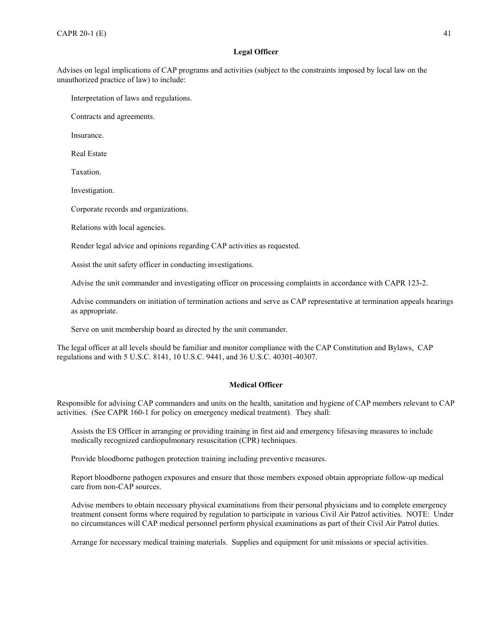# **Legal Officer**

<span id="page-40-0"></span>Advises on legal implications of CAP programs and activities (subject to the constraints imposed by local law on the unauthorized practice of law) to include:

Interpretation of laws and regulations.

Contracts and agreements.

Insurance.

Real Estate

Taxation.

Investigation.

Corporate records and organizations.

Relations with local agencies.

Render legal advice and opinions regarding CAP activities as requested.

Assist the unit safety officer in conducting investigations.

Advise the unit commander and investigating officer on processing complaints in accordance with CAPR 123-2.

Advise commanders on initiation of termination actions and serve as CAP representative at termination appeals hearings as appropriate.

Serve on unit membership board as directed by the unit commander.

The legal officer at all levels should be familiar and monitor compliance with the CAP Constitution and Bylaws, CAP regulations and with 5 U.S.C. 8141, 10 U.S.C. 9441, and 36 U.S.C. 40301-40307.

### **Medical Officer**

Responsible for advising CAP commanders and units on the health, sanitation and hygiene of CAP members relevant to CAP activities. (See CAPR 160-1 for policy on emergency medical treatment). They shall:

Assists the ES Officer in arranging or providing training in first aid and emergency lifesaving measures to include medically recognized cardiopulmonary resuscitation (CPR) techniques.

Provide bloodborne pathogen protection training including preventive measures.

Report bloodborne pathogen exposures and ensure that those members exposed obtain appropriate follow-up medical care from non-CAP sources.

Advise members to obtain necessary physical examinations from their personal physicians and to complete emergency treatment consent forms where required by regulation to participate in various Civil Air Patrol activities. NOTE: Under no circumstances will CAP medical personnel perform physical examinations as part of their Civil Air Patrol duties.

Arrange for necessary medical training materials. Supplies and equipment for unit missions or special activities.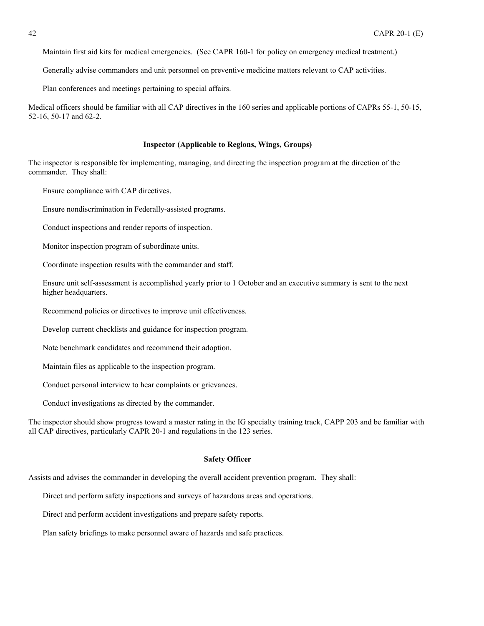<span id="page-41-0"></span>Maintain first aid kits for medical emergencies. (See CAPR 160-1 for policy on emergency medical treatment.)

Generally advise commanders and unit personnel on preventive medicine matters relevant to CAP activities.

Plan conferences and meetings pertaining to special affairs.

Medical officers should be familiar with all CAP directives in the 160 series and applicable portions of CAPRs 55-1, 50-15, 52-16, 50-17 and 62-2.

#### **Inspector (Applicable to Regions, Wings, Groups)**

The inspector is responsible for implementing, managing, and directing the inspection program at the direction of the commander. They shall:

Ensure compliance with CAP directives.

Ensure nondiscrimination in Federally-assisted programs.

Conduct inspections and render reports of inspection.

Monitor inspection program of subordinate units.

Coordinate inspection results with the commander and staff.

Ensure unit self-assessment is accomplished yearly prior to 1 October and an executive summary is sent to the next higher headquarters.

Recommend policies or directives to improve unit effectiveness.

Develop current checklists and guidance for inspection program.

Note benchmark candidates and recommend their adoption.

Maintain files as applicable to the inspection program.

Conduct personal interview to hear complaints or grievances.

Conduct investigations as directed by the commander.

The inspector should show progress toward a master rating in the IG specialty training track, CAPP 203 and be familiar with all CAP directives, particularly CAPR 20-1 and regulations in the 123 series.

#### **Safety Officer**

Assists and advises the commander in developing the overall accident prevention program. They shall:

Direct and perform safety inspections and surveys of hazardous areas and operations.

Direct and perform accident investigations and prepare safety reports.

Plan safety briefings to make personnel aware of hazards and safe practices.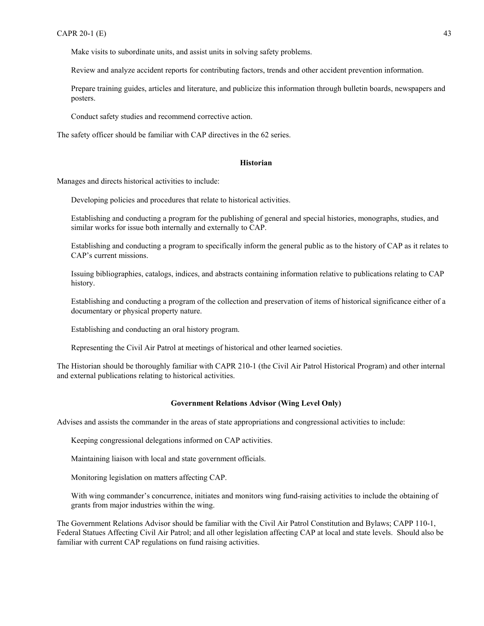<span id="page-42-0"></span>Make visits to subordinate units, and assist units in solving safety problems.

Review and analyze accident reports for contributing factors, trends and other accident prevention information.

Prepare training guides, articles and literature, and publicize this information through bulletin boards, newspapers and posters.

Conduct safety studies and recommend corrective action.

The safety officer should be familiar with CAP directives in the 62 series.

#### **Historian**

Manages and directs historical activities to include:

Developing policies and procedures that relate to historical activities.

Establishing and conducting a program for the publishing of general and special histories, monographs, studies, and similar works for issue both internally and externally to CAP.

Establishing and conducting a program to specifically inform the general public as to the history of CAP as it relates to CAP's current missions.

Issuing bibliographies, catalogs, indices, and abstracts containing information relative to publications relating to CAP history.

Establishing and conducting a program of the collection and preservation of items of historical significance either of a documentary or physical property nature.

Establishing and conducting an oral history program.

Representing the Civil Air Patrol at meetings of historical and other learned societies.

The Historian should be thoroughly familiar with CAPR 210-1 (the Civil Air Patrol Historical Program) and other internal and external publications relating to historical activities.

#### **Government Relations Advisor (Wing Level Only)**

Advises and assists the commander in the areas of state appropriations and congressional activities to include:

Keeping congressional delegations informed on CAP activities.

Maintaining liaison with local and state government officials.

Monitoring legislation on matters affecting CAP.

With wing commander's concurrence, initiates and monitors wing fund-raising activities to include the obtaining of grants from major industries within the wing.

The Government Relations Advisor should be familiar with the Civil Air Patrol Constitution and Bylaws; CAPP 110-1, Federal Statues Affecting Civil Air Patrol; and all other legislation affecting CAP at local and state levels. Should also be familiar with current CAP regulations on fund raising activities.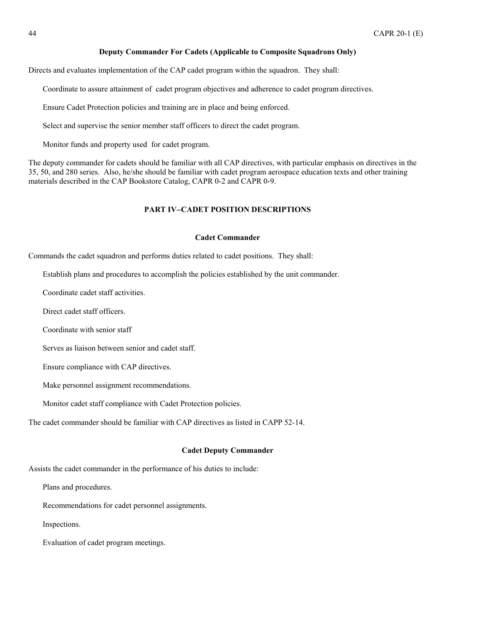#### **Deputy Commander For Cadets (Applicable to Composite Squadrons Only)**

<span id="page-43-0"></span>Directs and evaluates implementation of the CAP cadet program within the squadron. They shall:

Coordinate to assure attainment of cadet program objectives and adherence to cadet program directives.

Ensure Cadet Protection policies and training are in place and being enforced.

Select and supervise the senior member staff officers to direct the cadet program.

Monitor funds and property used for cadet program.

The deputy commander for cadets should be familiar with all CAP directives, with particular emphasis on directives in the 35, 50, and 280 series. Also, he/she should be familiar with cadet program aerospace education texts and other training materials described in the CAP Bookstore Catalog, CAPR 0-2 and CAPR 0-9.

# **PART IV**−**CADET POSITION DESCRIPTIONS**

#### **Cadet Commander**

Commands the cadet squadron and performs duties related to cadet positions. They shall:

Establish plans and procedures to accomplish the policies established by the unit commander.

Coordinate cadet staff activities.

Direct cadet staff officers.

Coordinate with senior staff

Serves as liaison between senior and cadet staff.

Ensure compliance with CAP directives.

Make personnel assignment recommendations.

Monitor cadet staff compliance with Cadet Protection policies.

The cadet commander should be familiar with CAP directives as listed in CAPP 52-14.

#### **Cadet Deputy Commander**

Assists the cadet commander in the performance of his duties to include:

Plans and procedures.

Recommendations for cadet personnel assignments.

Inspections.

Evaluation of cadet program meetings.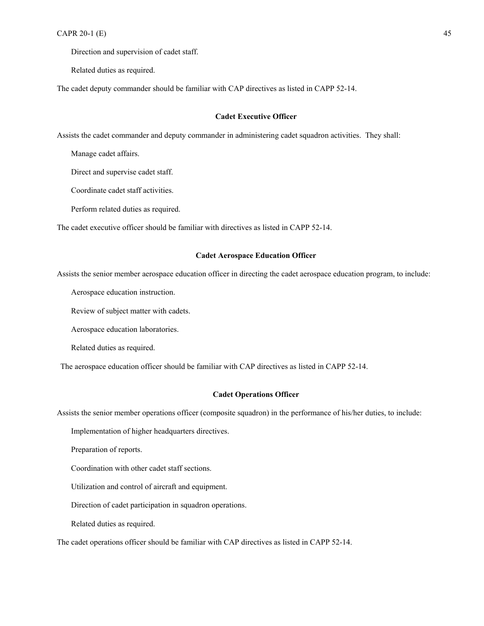<span id="page-44-0"></span>Direction and supervision of cadet staff.

Related duties as required.

The cadet deputy commander should be familiar with CAP directives as listed in CAPP 52-14.

#### **Cadet Executive Officer**

Assists the cadet commander and deputy commander in administering cadet squadron activities. They shall:

Manage cadet affairs.

Direct and supervise cadet staff.

Coordinate cadet staff activities.

Perform related duties as required.

The cadet executive officer should be familiar with directives as listed in CAPP 52-14.

#### **Cadet Aerospace Education Officer**

Assists the senior member aerospace education officer in directing the cadet aerospace education program, to include:

Aerospace education instruction.

Review of subject matter with cadets.

Aerospace education laboratories.

Related duties as required.

The aerospace education officer should be familiar with CAP directives as listed in CAPP 52-14.

#### **Cadet Operations Officer**

Assists the senior member operations officer (composite squadron) in the performance of his/her duties, to include:

Implementation of higher headquarters directives.

Preparation of reports.

Coordination with other cadet staff sections.

Utilization and control of aircraft and equipment.

Direction of cadet participation in squadron operations.

Related duties as required.

The cadet operations officer should be familiar with CAP directives as listed in CAPP 52-14.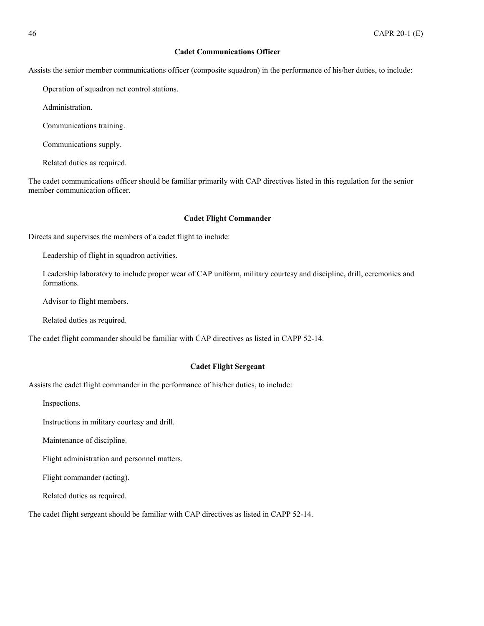# **Cadet Communications Officer**

<span id="page-45-0"></span>Assists the senior member communications officer (composite squadron) in the performance of his/her duties, to include:

Operation of squadron net control stations.

Administration.

Communications training.

Communications supply.

Related duties as required.

The cadet communications officer should be familiar primarily with CAP directives listed in this regulation for the senior member communication officer.

### **Cadet Flight Commander**

Directs and supervises the members of a cadet flight to include:

Leadership of flight in squadron activities.

Leadership laboratory to include proper wear of CAP uniform, military courtesy and discipline, drill, ceremonies and formations.

Advisor to flight members.

Related duties as required.

The cadet flight commander should be familiar with CAP directives as listed in CAPP 52-14.

#### **Cadet Flight Sergeant**

Assists the cadet flight commander in the performance of his/her duties, to include:

Inspections.

Instructions in military courtesy and drill.

Maintenance of discipline.

Flight administration and personnel matters.

Flight commander (acting).

Related duties as required.

The cadet flight sergeant should be familiar with CAP directives as listed in CAPP 52-14.